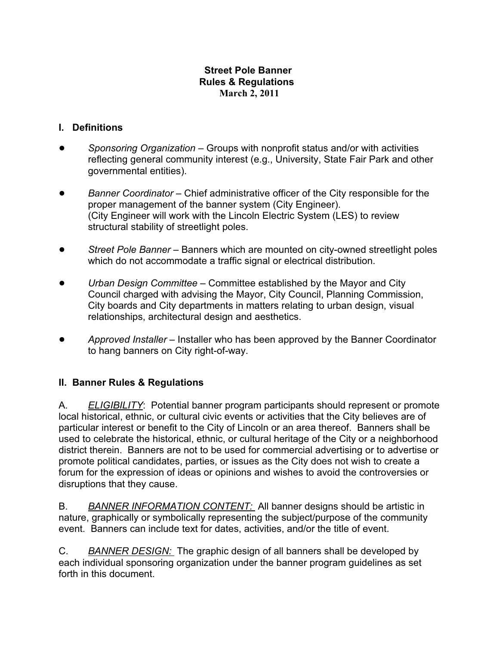### **Street Pole Banner Rules & Regulations March 2, 2011**

## **I. Definitions**

- ! *Sponsoring Organization*  Groups with nonprofit status and/or with activities reflecting general community interest (e.g., University, State Fair Park and other governmental entities).
- ! *Banner Coordinator*  Chief administrative officer of the City responsible for the proper management of the banner system (City Engineer). (City Engineer will work with the Lincoln Electric System (LES) to review structural stability of streetlight poles.
- **•** Street Pole Banner Banners which are mounted on city-owned streetlight poles which do not accommodate a traffic signal or electrical distribution.
- ! *Urban Design Committee*  Committee established by the Mayor and City Council charged with advising the Mayor, City Council, Planning Commission, City boards and City departments in matters relating to urban design, visual relationships, architectural design and aesthetics.
- ! *Approved Installer*  Installer who has been approved by the Banner Coordinator to hang banners on City right-of-way.

## **II. Banner Rules & Regulations**

A. *ELIGIBILITY*: Potential banner program participants should represent or promote local historical, ethnic, or cultural civic events or activities that the City believes are of particular interest or benefit to the City of Lincoln or an area thereof. Banners shall be used to celebrate the historical, ethnic, or cultural heritage of the City or a neighborhood district therein. Banners are not to be used for commercial advertising or to advertise or promote political candidates, parties, or issues as the City does not wish to create a forum for the expression of ideas or opinions and wishes to avoid the controversies or disruptions that they cause.

B. *BANNER INFORMATION CONTENT:* All banner designs should be artistic in nature, graphically or symbolically representing the subject/purpose of the community event. Banners can include text for dates, activities, and/or the title of event.

C. *BANNER DESIGN:* The graphic design of all banners shall be developed by each individual sponsoring organization under the banner program guidelines as set forth in this document.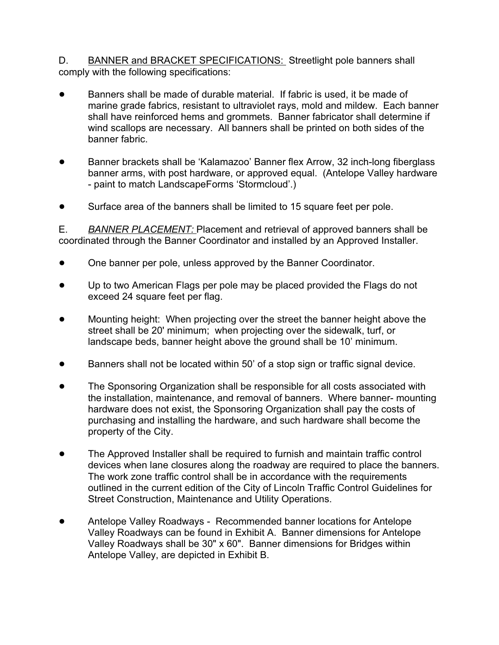D. BANNER and BRACKET SPECIFICATIONS: Streetlight pole banners shall comply with the following specifications:

- **Banners shall be made of durable material. If fabric is used, it be made of** marine grade fabrics, resistant to ultraviolet rays, mold and mildew. Each banner shall have reinforced hems and grommets. Banner fabricator shall determine if wind scallops are necessary. All banners shall be printed on both sides of the banner fabric.
- ! Banner brackets shall be 'Kalamazoo' Banner flex Arrow, 32 inch-long fiberglass banner arms, with post hardware, or approved equal. (Antelope Valley hardware - paint to match LandscapeForms 'Stormcloud'.)
- Surface area of the banners shall be limited to 15 square feet per pole.

E. *BANNER PLACEMENT:* Placement and retrieval of approved banners shall be coordinated through the Banner Coordinator and installed by an Approved Installer.

- One banner per pole, unless approved by the Banner Coordinator.
- Up to two American Flags per pole may be placed provided the Flags do not exceed 24 square feet per flag.
- Mounting height: When projecting over the street the banner height above the street shall be 20' minimum; when projecting over the sidewalk, turf, or landscape beds, banner height above the ground shall be 10' minimum.
- Banners shall not be located within 50' of a stop sign or traffic signal device.
- The Sponsoring Organization shall be responsible for all costs associated with the installation, maintenance, and removal of banners. Where banner- mounting hardware does not exist, the Sponsoring Organization shall pay the costs of purchasing and installing the hardware, and such hardware shall become the property of the City.
- The Approved Installer shall be required to furnish and maintain traffic control devices when lane closures along the roadway are required to place the banners. The work zone traffic control shall be in accordance with the requirements outlined in the current edition of the City of Lincoln Traffic Control Guidelines for Street Construction, Maintenance and Utility Operations.
- ! Antelope Valley Roadways Recommended banner locations for Antelope Valley Roadways can be found in Exhibit A. Banner dimensions for Antelope Valley Roadways shall be 30" x 60". Banner dimensions for Bridges within Antelope Valley, are depicted in Exhibit B.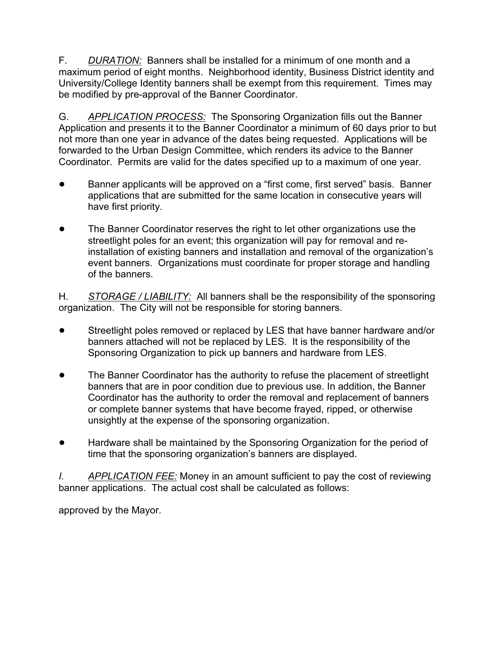F. *DURATION:* Banners shall be installed for a minimum of one month and a maximum period of eight months. Neighborhood identity, Business District identity and University/College Identity banners shall be exempt from this requirement. Times may be modified by pre-approval of the Banner Coordinator.

G. *APPLICATION PROCESS:* The Sponsoring Organization fills out the Banner Application and presents it to the Banner Coordinator a minimum of 60 days prior to but not more than one year in advance of the dates being requested. Applications will be forwarded to the Urban Design Committee, which renders its advice to the Banner Coordinator. Permits are valid for the dates specified up to a maximum of one year.

- Banner applicants will be approved on a "first come, first served" basis. Banner applications that are submitted for the same location in consecutive years will have first priority.
- ! The Banner Coordinator reserves the right to let other organizations use the streetlight poles for an event; this organization will pay for removal and reinstallation of existing banners and installation and removal of the organization's event banners. Organizations must coordinate for proper storage and handling of the banners.

H. *STORAGE / LIABILITY:* All banners shall be the responsibility of the sponsoring organization. The City will not be responsible for storing banners.

- Streetlight poles removed or replaced by LES that have banner hardware and/or banners attached will not be replaced by LES. It is the responsibility of the Sponsoring Organization to pick up banners and hardware from LES.
- The Banner Coordinator has the authority to refuse the placement of streetlight banners that are in poor condition due to previous use. In addition, the Banner Coordinator has the authority to order the removal and replacement of banners or complete banner systems that have become frayed, ripped, or otherwise unsightly at the expense of the sponsoring organization.
- Hardware shall be maintained by the Sponsoring Organization for the period of time that the sponsoring organization's banners are displayed.

*I. APPLICATION FEE:* Money in an amount sufficient to pay the cost of reviewing banner applications. The actual cost shall be calculated as follows:

approved by the Mayor.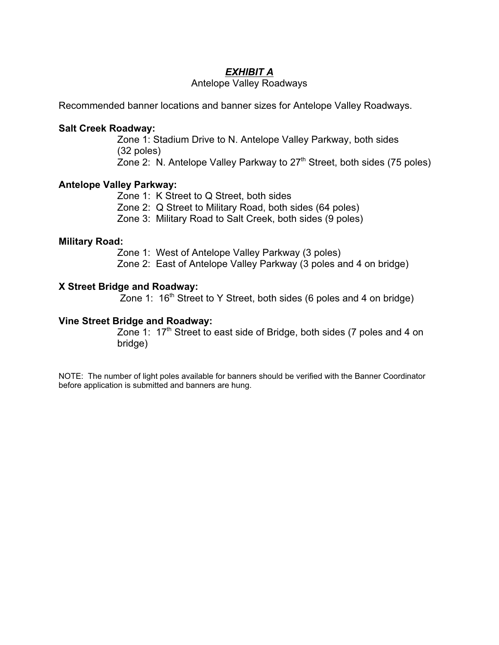### *EXHIBIT A*

#### Antelope Valley Roadways

Recommended banner locations and banner sizes for Antelope Valley Roadways.

#### **Salt Creek Roadway:**

Zone 1: Stadium Drive to N. Antelope Valley Parkway, both sides (32 poles) Zone 2: N. Antelope Valley Parkway to  $27<sup>th</sup>$  Street, both sides (75 poles)

### **Antelope Valley Parkway:**

- Zone 1: K Street to Q Street, both sides
- Zone 2: Q Street to Military Road, both sides (64 poles)
- Zone 3: Military Road to Salt Creek, both sides (9 poles)

#### **Military Road:**

Zone 1: West of Antelope Valley Parkway (3 poles)

Zone 2: East of Antelope Valley Parkway (3 poles and 4 on bridge)

### **X Street Bridge and Roadway:**

Zone 1:  $16<sup>th</sup>$  Street to Y Street, both sides (6 poles and 4 on bridge)

### **Vine Street Bridge and Roadway:**

Zone 1: 17<sup>th</sup> Street to east side of Bridge, both sides (7 poles and 4 on bridge)

NOTE: The number of light poles available for banners should be verified with the Banner Coordinator before application is submitted and banners are hung.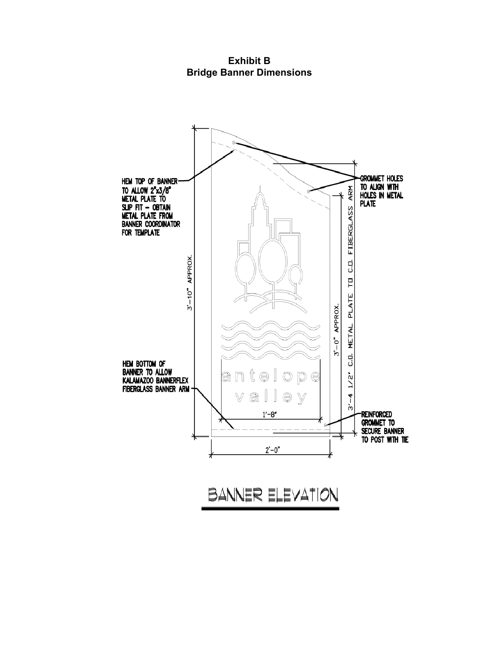**Exhibit B Bridge Banner Dimensions**



BANNER ELEVATION